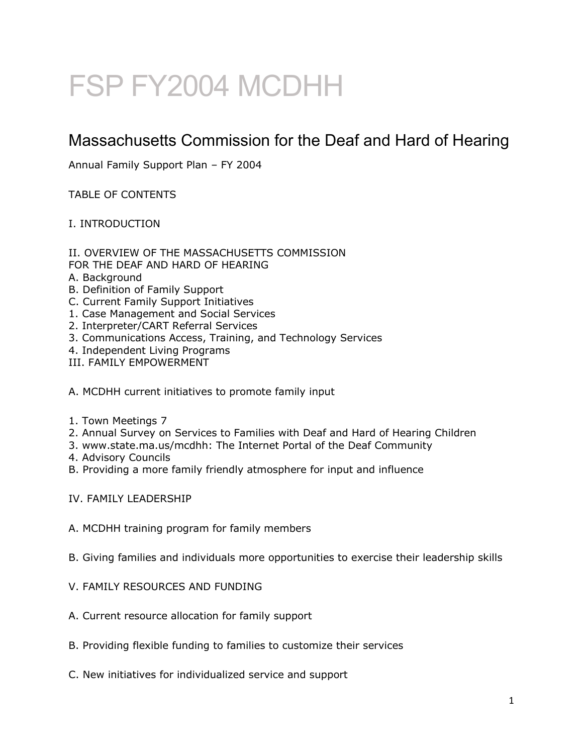# FSP FY2004 MCDHH

# Massachusetts Commission for the Deaf and Hard of Hearing

Annual Family Support Plan – FY 2004

TABLE OF CONTENTS

# I. INTRODUCTION

- II. OVERVIEW OF THE MASSACHUSETTS COMMISSION
- FOR THE DEAF AND HARD OF HEARING
- A. Background
- B. Definition of Family Support
- C. Current Family Support Initiatives
- 1. Case Management and Social Services
- 2. Interpreter/CART Referral Services
- 3. Communications Access, Training, and Technology Services
- 4. Independent Living Programs
- III. FAMILY EMPOWERMENT
- A. MCDHH current initiatives to promote family input
- 1. Town Meetings 7
- 2. Annual Survey on Services to Families with Deaf and Hard of Hearing Children
- 3. www.state.ma.us/mcdhh: The Internet Portal of the Deaf Community
- 4. Advisory Councils
- B. Providing a more family friendly atmosphere for input and influence
- IV. FAMILY LEADERSHIP
- A. MCDHH training program for family members
- B. Giving families and individuals more opportunities to exercise their leadership skills
- V. FAMILY RESOURCES AND FUNDING
- A. Current resource allocation for family support
- B. Providing flexible funding to families to customize their services
- C. New initiatives for individualized service and support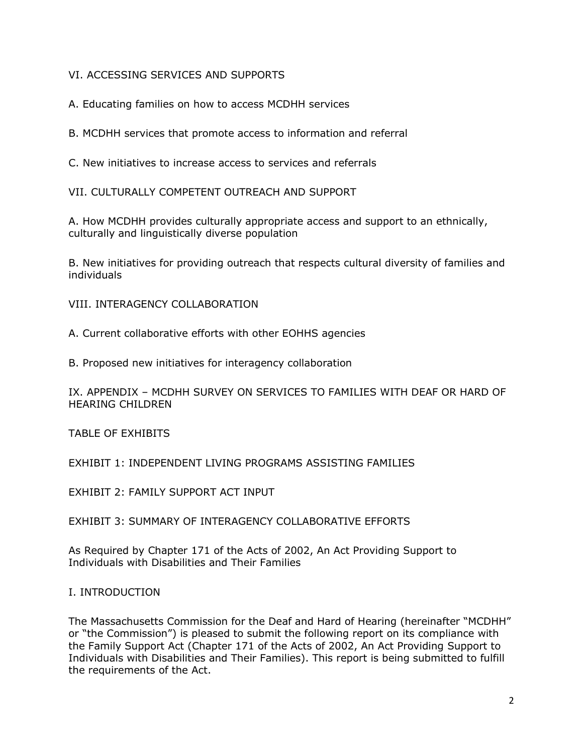# VI. ACCESSING SERVICES AND SUPPORTS

A. Educating families on how to access MCDHH services

B. MCDHH services that promote access to information and referral

C. New initiatives to increase access to services and referrals

VII. CULTURALLY COMPETENT OUTREACH AND SUPPORT

A. How MCDHH provides culturally appropriate access and support to an ethnically, culturally and linguistically diverse population

B. New initiatives for providing outreach that respects cultural diversity of families and individuals

VIII. INTERAGENCY COLLABORATION

A. Current collaborative efforts with other EOHHS agencies

B. Proposed new initiatives for interagency collaboration

IX. APPENDIX – MCDHH SURVEY ON SERVICES TO FAMILIES WITH DEAF OR HARD OF HEARING CHILDREN

TABLE OF EXHIBITS

EXHIBIT 1: INDEPENDENT LIVING PROGRAMS ASSISTING FAMILIES

EXHIBIT 2: FAMILY SUPPORT ACT INPUT

EXHIBIT 3: SUMMARY OF INTERAGENCY COLLABORATIVE EFFORTS

As Required by Chapter 171 of the Acts of 2002, An Act Providing Support to Individuals with Disabilities and Their Families

I. INTRODUCTION

The Massachusetts Commission for the Deaf and Hard of Hearing (hereinafter "MCDHH" or "the Commission") is pleased to submit the following report on its compliance with the Family Support Act (Chapter 171 of the Acts of 2002, An Act Providing Support to Individuals with Disabilities and Their Families). This report is being submitted to fulfill the requirements of the Act.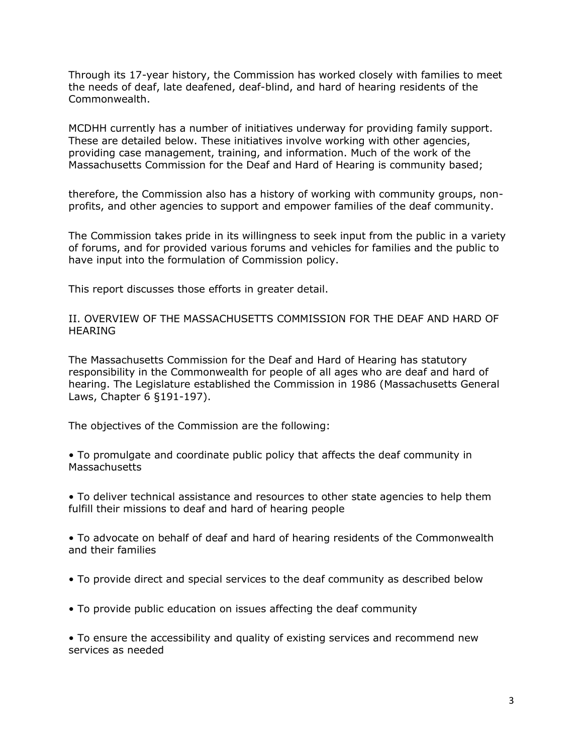Through its 17-year history, the Commission has worked closely with families to meet the needs of deaf, late deafened, deaf-blind, and hard of hearing residents of the Commonwealth.

MCDHH currently has a number of initiatives underway for providing family support. These are detailed below. These initiatives involve working with other agencies, providing case management, training, and information. Much of the work of the Massachusetts Commission for the Deaf and Hard of Hearing is community based;

therefore, the Commission also has a history of working with community groups, nonprofits, and other agencies to support and empower families of the deaf community.

The Commission takes pride in its willingness to seek input from the public in a variety of forums, and for provided various forums and vehicles for families and the public to have input into the formulation of Commission policy.

This report discusses those efforts in greater detail.

II. OVERVIEW OF THE MASSACHUSETTS COMMISSION FOR THE DEAF AND HARD OF HEARING

The Massachusetts Commission for the Deaf and Hard of Hearing has statutory responsibility in the Commonwealth for people of all ages who are deaf and hard of hearing. The Legislature established the Commission in 1986 (Massachusetts General Laws, Chapter 6 §191-197).

The objectives of the Commission are the following:

• To promulgate and coordinate public policy that affects the deaf community in **Massachusetts** 

• To deliver technical assistance and resources to other state agencies to help them fulfill their missions to deaf and hard of hearing people

• To advocate on behalf of deaf and hard of hearing residents of the Commonwealth and their families

- To provide direct and special services to the deaf community as described below
- To provide public education on issues affecting the deaf community

• To ensure the accessibility and quality of existing services and recommend new services as needed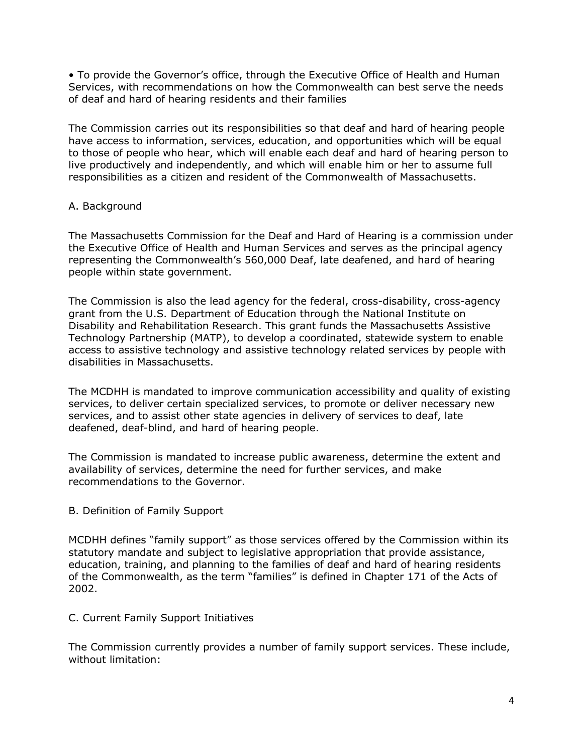• To provide the Governor's office, through the Executive Office of Health and Human Services, with recommendations on how the Commonwealth can best serve the needs of deaf and hard of hearing residents and their families

The Commission carries out its responsibilities so that deaf and hard of hearing people have access to information, services, education, and opportunities which will be equal to those of people who hear, which will enable each deaf and hard of hearing person to live productively and independently, and which will enable him or her to assume full responsibilities as a citizen and resident of the Commonwealth of Massachusetts.

# A. Background

The Massachusetts Commission for the Deaf and Hard of Hearing is a commission under the Executive Office of Health and Human Services and serves as the principal agency representing the Commonwealth's 560,000 Deaf, late deafened, and hard of hearing people within state government.

The Commission is also the lead agency for the federal, cross-disability, cross-agency grant from the U.S. Department of Education through the National Institute on Disability and Rehabilitation Research. This grant funds the Massachusetts Assistive Technology Partnership (MATP), to develop a coordinated, statewide system to enable access to assistive technology and assistive technology related services by people with disabilities in Massachusetts.

The MCDHH is mandated to improve communication accessibility and quality of existing services, to deliver certain specialized services, to promote or deliver necessary new services, and to assist other state agencies in delivery of services to deaf, late deafened, deaf-blind, and hard of hearing people.

The Commission is mandated to increase public awareness, determine the extent and availability of services, determine the need for further services, and make recommendations to the Governor.

#### B. Definition of Family Support

MCDHH defines "family support" as those services offered by the Commission within its statutory mandate and subject to legislative appropriation that provide assistance, education, training, and planning to the families of deaf and hard of hearing residents of the Commonwealth, as the term "families" is defined in Chapter 171 of the Acts of 2002.

#### C. Current Family Support Initiatives

The Commission currently provides a number of family support services. These include, without limitation: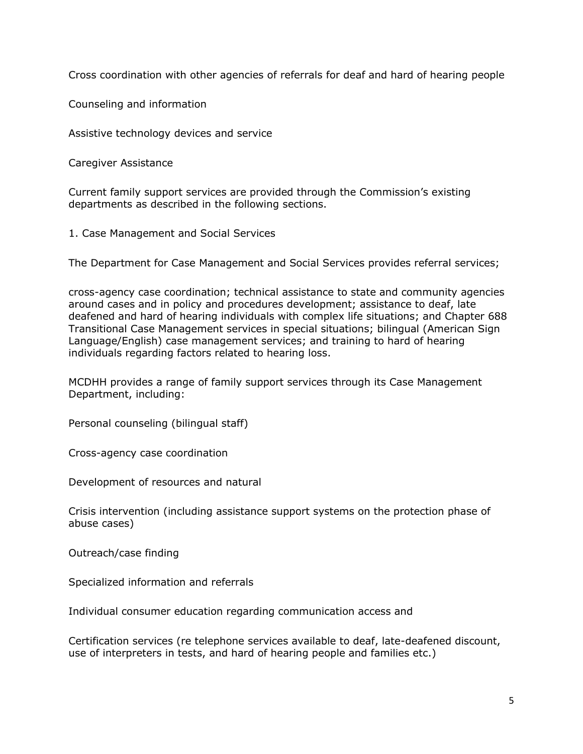Cross coordination with other agencies of referrals for deaf and hard of hearing people

Counseling and information

Assistive technology devices and service

Caregiver Assistance

Current family support services are provided through the Commission's existing departments as described in the following sections.

1. Case Management and Social Services

The Department for Case Management and Social Services provides referral services;

cross-agency case coordination; technical assistance to state and community agencies around cases and in policy and procedures development; assistance to deaf, late deafened and hard of hearing individuals with complex life situations; and Chapter 688 Transitional Case Management services in special situations; bilingual (American Sign Language/English) case management services; and training to hard of hearing individuals regarding factors related to hearing loss.

MCDHH provides a range of family support services through its Case Management Department, including:

Personal counseling (bilingual staff)

Cross-agency case coordination

Development of resources and natural

Crisis intervention (including assistance support systems on the protection phase of abuse cases)

Outreach/case finding

Specialized information and referrals

Individual consumer education regarding communication access and

Certification services (re telephone services available to deaf, late-deafened discount, use of interpreters in tests, and hard of hearing people and families etc.)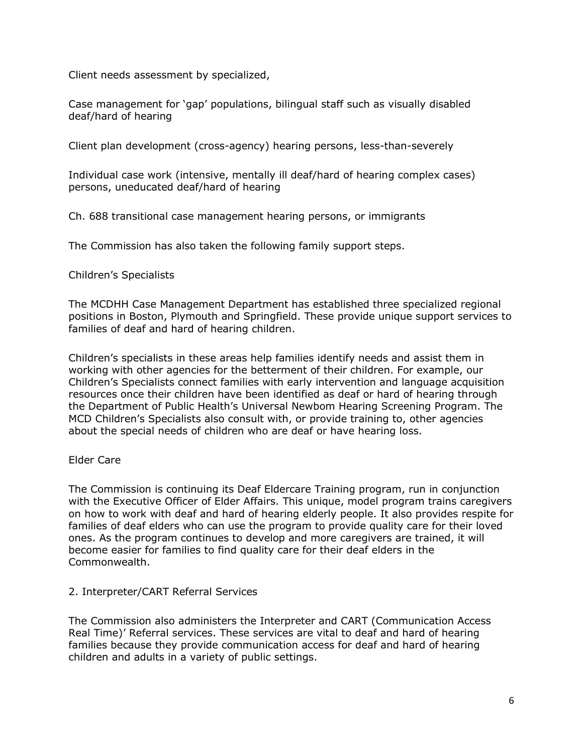Client needs assessment by specialized,

Case management for 'gap' populations, bilingual staff such as visually disabled deaf/hard of hearing

Client plan development (cross-agency) hearing persons, less-than-severely

Individual case work (intensive, mentally ill deaf/hard of hearing complex cases) persons, uneducated deaf/hard of hearing

Ch. 688 transitional case management hearing persons, or immigrants

The Commission has also taken the following family support steps.

#### Children's Specialists

The MCDHH Case Management Department has established three specialized regional positions in Boston, Plymouth and Springfield. These provide unique support services to families of deaf and hard of hearing children.

Children's specialists in these areas help families identify needs and assist them in working with other agencies for the betterment of their children. For example, our Children's Specialists connect families with early intervention and language acquisition resources once their children have been identified as deaf or hard of hearing through the Department of Public Health's Universal Newbom Hearing Screening Program. The MCD Children's Specialists also consult with, or provide training to, other agencies about the special needs of children who are deaf or have hearing loss.

#### Elder Care

The Commission is continuing its Deaf Eldercare Training program, run in conjunction with the Executive Officer of Elder Affairs. This unique, model program trains caregivers on how to work with deaf and hard of hearing elderly people. It also provides respite for families of deaf elders who can use the program to provide quality care for their loved ones. As the program continues to develop and more caregivers are trained, it will become easier for families to find quality care for their deaf elders in the Commonwealth.

# 2. Interpreter/CART Referral Services

The Commission also administers the Interpreter and CART (Communication Access Real Time)' Referral services. These services are vital to deaf and hard of hearing families because they provide communication access for deaf and hard of hearing children and adults in a variety of public settings.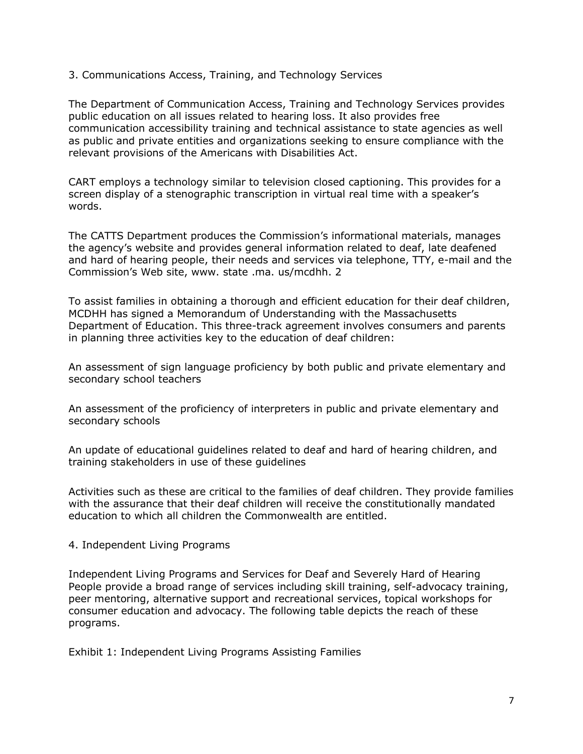3. Communications Access, Training, and Technology Services

The Department of Communication Access, Training and Technology Services provides public education on all issues related to hearing loss. It also provides free communication accessibility training and technical assistance to state agencies as well as public and private entities and organizations seeking to ensure compliance with the relevant provisions of the Americans with Disabilities Act.

CART employs a technology similar to television closed captioning. This provides for a screen display of a stenographic transcription in virtual real time with a speaker's words.

The CATTS Department produces the Commission's informational materials, manages the agency's website and provides general information related to deaf, late deafened and hard of hearing people, their needs and services via telephone, TTY, e-mail and the Commission's Web site, www. state .ma. us/mcdhh. 2

To assist families in obtaining a thorough and efficient education for their deaf children, MCDHH has signed a Memorandum of Understanding with the Massachusetts Department of Education. This three-track agreement involves consumers and parents in planning three activities key to the education of deaf children:

An assessment of sign language proficiency by both public and private elementary and secondary school teachers

An assessment of the proficiency of interpreters in public and private elementary and secondary schools

An update of educational guidelines related to deaf and hard of hearing children, and training stakeholders in use of these guidelines

Activities such as these are critical to the families of deaf children. They provide families with the assurance that their deaf children will receive the constitutionally mandated education to which all children the Commonwealth are entitled.

4. Independent Living Programs

Independent Living Programs and Services for Deaf and Severely Hard of Hearing People provide a broad range of services including skill training, self-advocacy training, peer mentoring, alternative support and recreational services, topical workshops for consumer education and advocacy. The following table depicts the reach of these programs.

Exhibit 1: Independent Living Programs Assisting Families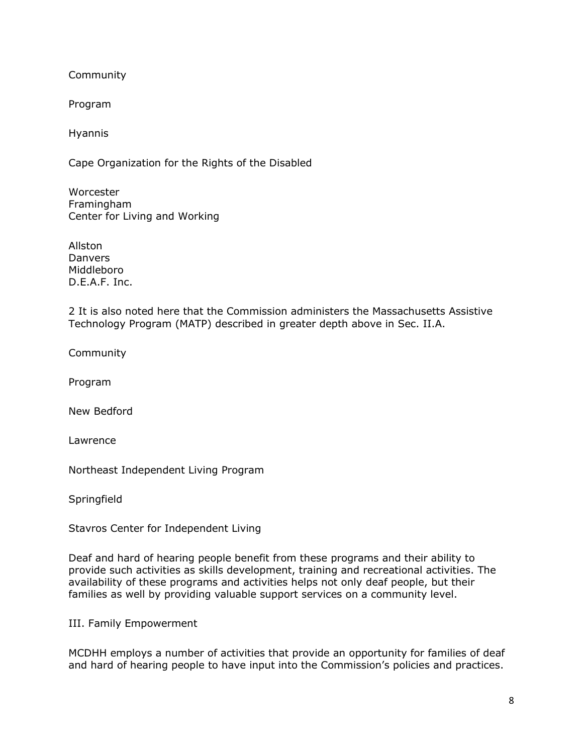Community

Program

Hyannis

Cape Organization for the Rights of the Disabled

Worcester Framingham Center for Living and Working

Allston **Danvers** Middleboro D.E.A.F. Inc.

2 It is also noted here that the Commission administers the Massachusetts Assistive Technology Program (MATP) described in greater depth above in Sec. II.A.

Community

Program

New Bedford

Lawrence

Northeast Independent Living Program

**Springfield** 

Stavros Center for Independent Living

Deaf and hard of hearing people benefit from these programs and their ability to provide such activities as skills development, training and recreational activities. The availability of these programs and activities helps not only deaf people, but their families as well by providing valuable support services on a community level.

III. Family Empowerment

MCDHH employs a number of activities that provide an opportunity for families of deaf and hard of hearing people to have input into the Commission's policies and practices.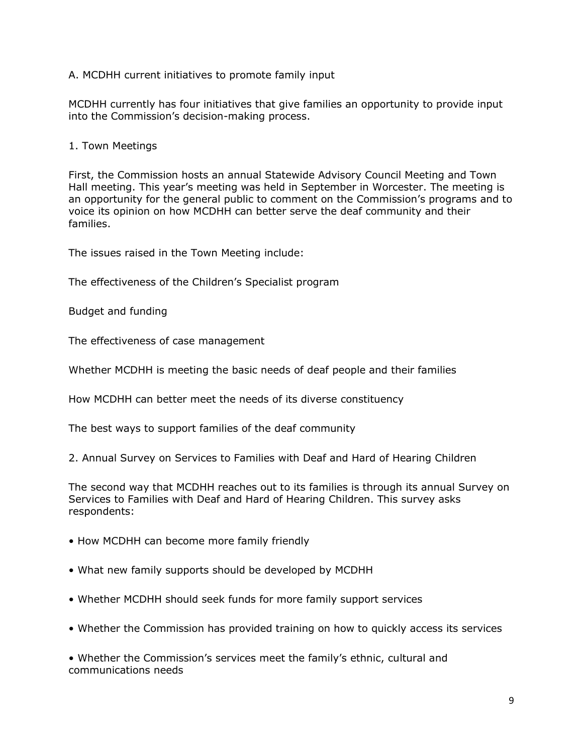A. MCDHH current initiatives to promote family input

MCDHH currently has four initiatives that give families an opportunity to provide input into the Commission's decision-making process.

1. Town Meetings

First, the Commission hosts an annual Statewide Advisory Council Meeting and Town Hall meeting. This year's meeting was held in September in Worcester. The meeting is an opportunity for the general public to comment on the Commission's programs and to voice its opinion on how MCDHH can better serve the deaf community and their families.

The issues raised in the Town Meeting include:

The effectiveness of the Children's Specialist program

Budget and funding

The effectiveness of case management

Whether MCDHH is meeting the basic needs of deaf people and their families

How MCDHH can better meet the needs of its diverse constituency

The best ways to support families of the deaf community

2. Annual Survey on Services to Families with Deaf and Hard of Hearing Children

The second way that MCDHH reaches out to its families is through its annual Survey on Services to Families with Deaf and Hard of Hearing Children. This survey asks respondents:

- How MCDHH can become more family friendly
- What new family supports should be developed by MCDHH
- Whether MCDHH should seek funds for more family support services
- Whether the Commission has provided training on how to quickly access its services

• Whether the Commission's services meet the family's ethnic, cultural and communications needs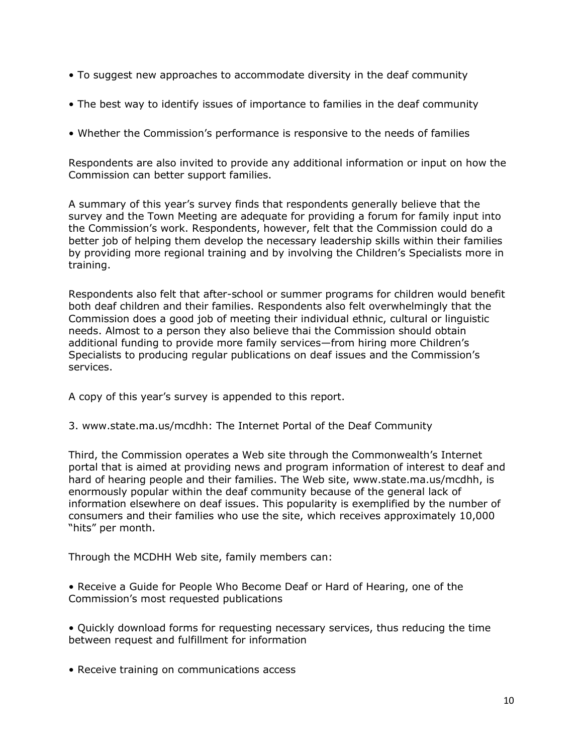- To suggest new approaches to accommodate diversity in the deaf community
- The best way to identify issues of importance to families in the deaf community
- Whether the Commission's performance is responsive to the needs of families

Respondents are also invited to provide any additional information or input on how the Commission can better support families.

A summary of this year's survey finds that respondents generally believe that the survey and the Town Meeting are adequate for providing a forum for family input into the Commission's work. Respondents, however, felt that the Commission could do a better job of helping them develop the necessary leadership skills within their families by providing more regional training and by involving the Children's Specialists more in training.

Respondents also felt that after-school or summer programs for children would benefit both deaf children and their families. Respondents also felt overwhelmingly that the Commission does a good job of meeting their individual ethnic, cultural or linguistic needs. Almost to a person they also believe thai the Commission should obtain additional funding to provide more family services—from hiring more Children's Specialists to producing regular publications on deaf issues and the Commission's services.

A copy of this year's survey is appended to this report.

3. www.state.ma.us/mcdhh: The Internet Portal of the Deaf Community

Third, the Commission operates a Web site through the Commonwealth's Internet portal that is aimed at providing news and program information of interest to deaf and hard of hearing people and their families. The Web site, www.state.ma.us/mcdhh, is enormously popular within the deaf community because of the general lack of information elsewhere on deaf issues. This popularity is exemplified by the number of consumers and their families who use the site, which receives approximately 10,000 "hits" per month.

Through the MCDHH Web site, family members can:

• Receive a Guide for People Who Become Deaf or Hard of Hearing, one of the Commission's most requested publications

• Quickly download forms for requesting necessary services, thus reducing the time between request and fulfillment for information

• Receive training on communications access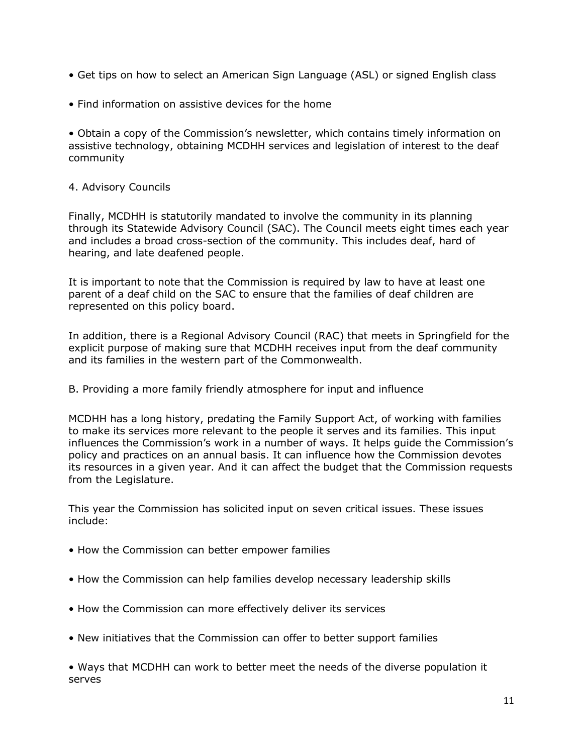- Get tips on how to select an American Sign Language (ASL) or signed English class
- Find information on assistive devices for the home

• Obtain a copy of the Commission's newsletter, which contains timely information on assistive technology, obtaining MCDHH services and legislation of interest to the deaf community

### 4. Advisory Councils

Finally, MCDHH is statutorily mandated to involve the community in its planning through its Statewide Advisory Council (SAC). The Council meets eight times each year and includes a broad cross-section of the community. This includes deaf, hard of hearing, and late deafened people.

It is important to note that the Commission is required by law to have at least one parent of a deaf child on the SAC to ensure that the families of deaf children are represented on this policy board.

In addition, there is a Regional Advisory Council (RAC) that meets in Springfield for the explicit purpose of making sure that MCDHH receives input from the deaf community and its families in the western part of the Commonwealth.

B. Providing a more family friendly atmosphere for input and influence

MCDHH has a long history, predating the Family Support Act, of working with families to make its services more relevant to the people it serves and its families. This input influences the Commission's work in a number of ways. It helps guide the Commission's policy and practices on an annual basis. It can influence how the Commission devotes its resources in a given year. And it can affect the budget that the Commission requests from the Legislature.

This year the Commission has solicited input on seven critical issues. These issues include:

- How the Commission can better empower families
- How the Commission can help families develop necessary leadership skills
- How the Commission can more effectively deliver its services
- New initiatives that the Commission can offer to better support families

• Ways that MCDHH can work to better meet the needs of the diverse population it serves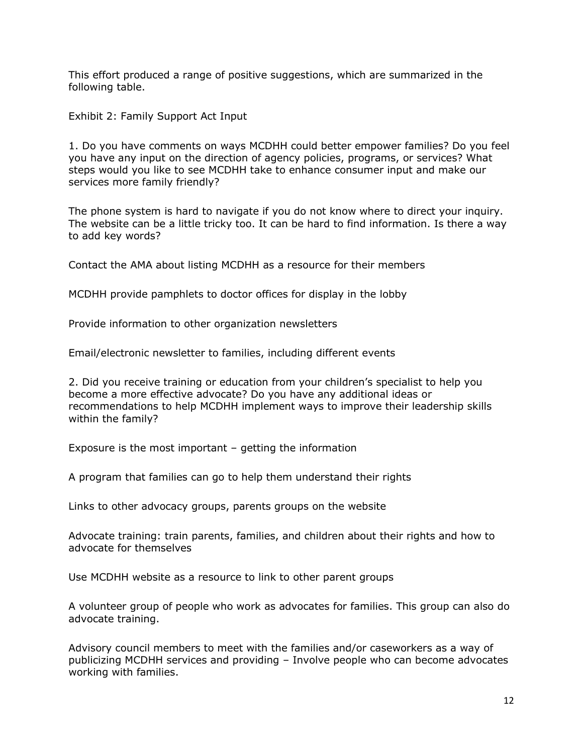This effort produced a range of positive suggestions, which are summarized in the following table.

Exhibit 2: Family Support Act Input

1. Do you have comments on ways MCDHH could better empower families? Do you feel you have any input on the direction of agency policies, programs, or services? What steps would you like to see MCDHH take to enhance consumer input and make our services more family friendly?

The phone system is hard to navigate if you do not know where to direct your inquiry. The website can be a little tricky too. It can be hard to find information. Is there a way to add key words?

Contact the AMA about listing MCDHH as a resource for their members

MCDHH provide pamphlets to doctor offices for display in the lobby

Provide information to other organization newsletters

Email/electronic newsletter to families, including different events

2. Did you receive training or education from your children's specialist to help you become a more effective advocate? Do you have any additional ideas or recommendations to help MCDHH implement ways to improve their leadership skills within the family?

Exposure is the most important – getting the information

A program that families can go to help them understand their rights

Links to other advocacy groups, parents groups on the website

Advocate training: train parents, families, and children about their rights and how to advocate for themselves

Use MCDHH website as a resource to link to other parent groups

A volunteer group of people who work as advocates for families. This group can also do advocate training.

Advisory council members to meet with the families and/or caseworkers as a way of publicizing MCDHH services and providing – Involve people who can become advocates working with families.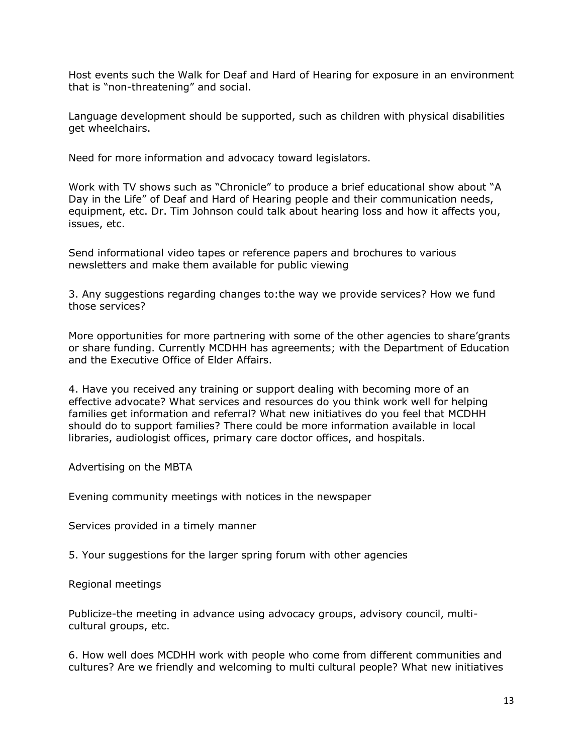Host events such the Walk for Deaf and Hard of Hearing for exposure in an environment that is "non-threatening" and social.

Language development should be supported, such as children with physical disabilities get wheelchairs.

Need for more information and advocacy toward legislators.

Work with TV shows such as "Chronicle" to produce a brief educational show about "A Day in the Life" of Deaf and Hard of Hearing people and their communication needs, equipment, etc. Dr. Tim Johnson could talk about hearing loss and how it affects you, issues, etc.

Send informational video tapes or reference papers and brochures to various newsletters and make them available for public viewing

3. Any suggestions regarding changes to:the way we provide services? How we fund those services?

More opportunities for more partnering with some of the other agencies to share'grants or share funding. Currently MCDHH has agreements; with the Department of Education and the Executive Office of Elder Affairs.

4. Have you received any training or support dealing with becoming more of an effective advocate? What services and resources do you think work well for helping families get information and referral? What new initiatives do you feel that MCDHH should do to support families? There could be more information available in local libraries, audiologist offices, primary care doctor offices, and hospitals.

Advertising on the MBTA

Evening community meetings with notices in the newspaper

Services provided in a timely manner

5. Your suggestions for the larger spring forum with other agencies

Regional meetings

Publicize-the meeting in advance using advocacy groups, advisory council, multicultural groups, etc.

6. How well does MCDHH work with people who come from different communities and cultures? Are we friendly and welcoming to multi cultural people? What new initiatives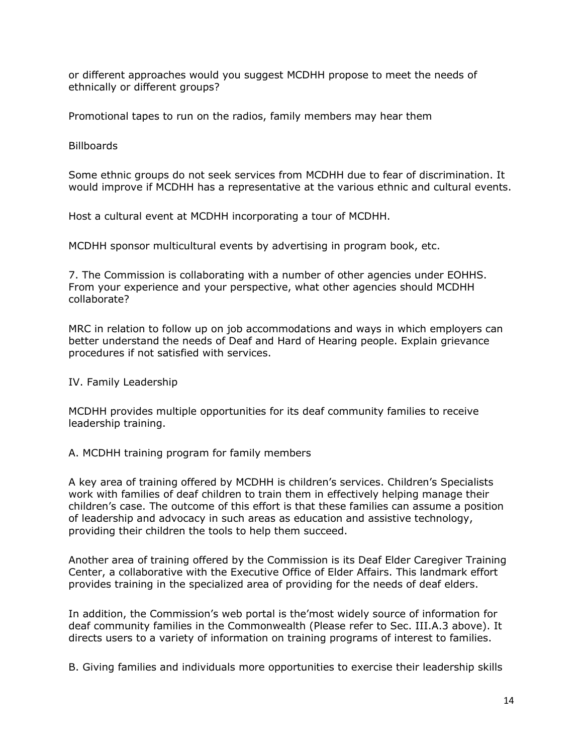or different approaches would you suggest MCDHH propose to meet the needs of ethnically or different groups?

Promotional tapes to run on the radios, family members may hear them

Billboards

Some ethnic groups do not seek services from MCDHH due to fear of discrimination. It would improve if MCDHH has a representative at the various ethnic and cultural events.

Host a cultural event at MCDHH incorporating a tour of MCDHH.

MCDHH sponsor multicultural events by advertising in program book, etc.

7. The Commission is collaborating with a number of other agencies under EOHHS. From your experience and your perspective, what other agencies should MCDHH collaborate?

MRC in relation to follow up on job accommodations and ways in which employers can better understand the needs of Deaf and Hard of Hearing people. Explain grievance procedures if not satisfied with services.

IV. Family Leadership

MCDHH provides multiple opportunities for its deaf community families to receive leadership training.

A. MCDHH training program for family members

A key area of training offered by MCDHH is children's services. Children's Specialists work with families of deaf children to train them in effectively helping manage their children's case. The outcome of this effort is that these families can assume a position of leadership and advocacy in such areas as education and assistive technology, providing their children the tools to help them succeed.

Another area of training offered by the Commission is its Deaf Elder Caregiver Training Center, a collaborative with the Executive Office of Elder Affairs. This landmark effort provides training in the specialized area of providing for the needs of deaf elders.

In addition, the Commission's web portal is the'most widely source of information for deaf community families in the Commonwealth (Please refer to Sec. III.A.3 above). It directs users to a variety of information on training programs of interest to families.

B. Giving families and individuals more opportunities to exercise their leadership skills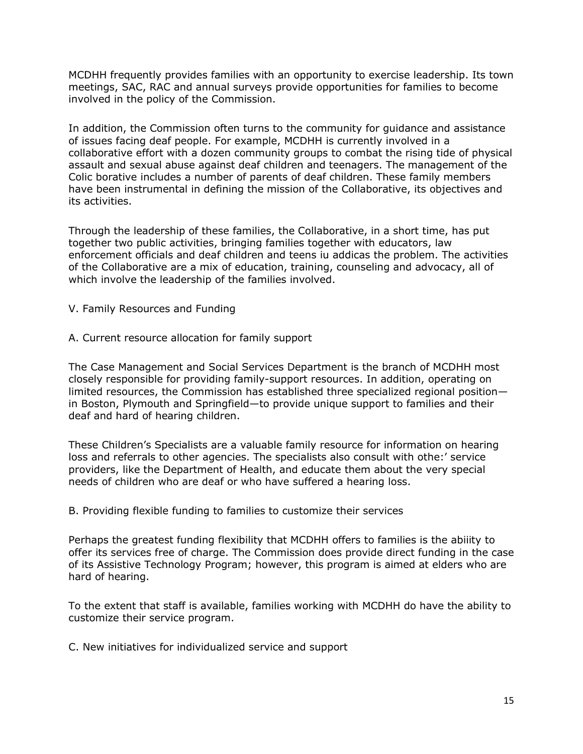MCDHH frequently provides families with an opportunity to exercise leadership. Its town meetings, SAC, RAC and annual surveys provide opportunities for families to become involved in the policy of the Commission.

In addition, the Commission often turns to the community for guidance and assistance of issues facing deaf people. For example, MCDHH is currently involved in a collaborative effort with a dozen community groups to combat the rising tide of physical assault and sexual abuse against deaf children and teenagers. The management of the Colic borative includes a number of parents of deaf children. These family members have been instrumental in defining the mission of the Collaborative, its objectives and its activities.

Through the leadership of these families, the Collaborative, in a short time, has put together two public activities, bringing families together with educators, law enforcement officials and deaf children and teens iu addicas the problem. The activities of the Collaborative are a mix of education, training, counseling and advocacy, all of which involve the leadership of the families involved.

V. Family Resources and Funding

A. Current resource allocation for family support

The Case Management and Social Services Department is the branch of MCDHH most closely responsible for providing family-support resources. In addition, operating on limited resources, the Commission has established three specialized regional position in Boston, Plymouth and Springfield—to provide unique support to families and their deaf and hard of hearing children.

These Children's Specialists are a valuable family resource for information on hearing loss and referrals to other agencies. The specialists also consult with othe:' service providers, like the Department of Health, and educate them about the very special needs of children who are deaf or who have suffered a hearing loss.

B. Providing flexible funding to families to customize their services

Perhaps the greatest funding flexibility that MCDHH offers to families is the abiiity to offer its services free of charge. The Commission does provide direct funding in the case of its Assistive Technology Program; however, this program is aimed at elders who are hard of hearing.

To the extent that staff is available, families working with MCDHH do have the ability to customize their service program.

C. New initiatives for individualized service and support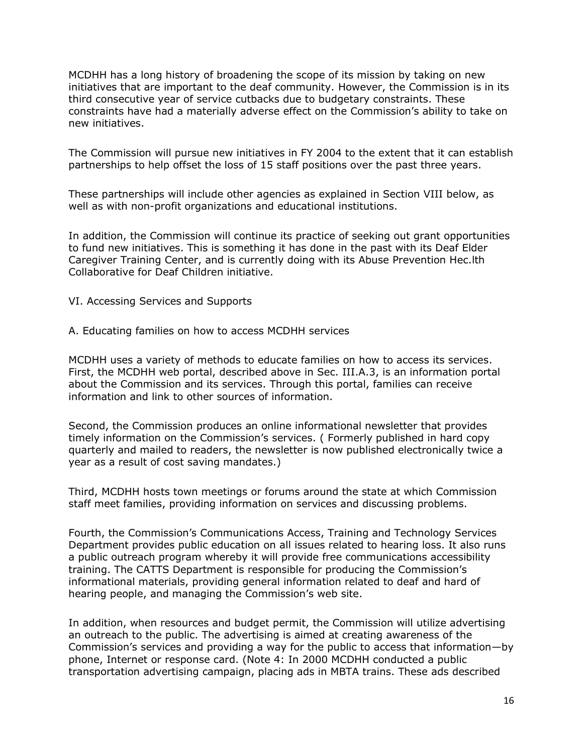MCDHH has a long history of broadening the scope of its mission by taking on new initiatives that are important to the deaf community. However, the Commission is in its third consecutive year of service cutbacks due to budgetary constraints. These constraints have had a materially adverse effect on the Commission's ability to take on new initiatives.

The Commission will pursue new initiatives in FY 2004 to the extent that it can establish partnerships to help offset the loss of 15 staff positions over the past three years.

These partnerships will include other agencies as explained in Section VIII below, as well as with non-profit organizations and educational institutions.

In addition, the Commission will continue its practice of seeking out grant opportunities to fund new initiatives. This is something it has done in the past with its Deaf Elder Caregiver Training Center, and is currently doing with its Abuse Prevention Hec.lth Collaborative for Deaf Children initiative.

- VI. Accessing Services and Supports
- A. Educating families on how to access MCDHH services

MCDHH uses a variety of methods to educate families on how to access its services. First, the MCDHH web portal, described above in Sec. III.A.3, is an information portal about the Commission and its services. Through this portal, families can receive information and link to other sources of information.

Second, the Commission produces an online informational newsletter that provides timely information on the Commission's services. ( Formerly published in hard copy quarterly and mailed to readers, the newsletter is now published electronically twice a year as a result of cost saving mandates.)

Third, MCDHH hosts town meetings or forums around the state at which Commission staff meet families, providing information on services and discussing problems.

Fourth, the Commission's Communications Access, Training and Technology Services Department provides public education on all issues related to hearing loss. It also runs a public outreach program whereby it will provide free communications accessibility training. The CATTS Department is responsible for producing the Commission's informational materials, providing general information related to deaf and hard of hearing people, and managing the Commission's web site.

In addition, when resources and budget permit, the Commission will utilize advertising an outreach to the public. The advertising is aimed at creating awareness of the Commission's services and providing a way for the public to access that information—by phone, Internet or response card. (Note 4: In 2000 MCDHH conducted a public transportation advertising campaign, placing ads in MBTA trains. These ads described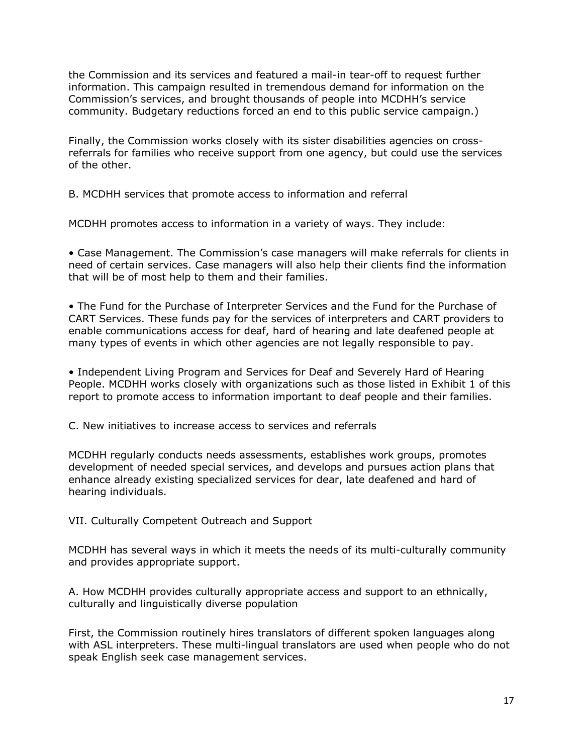the Commission and its services and featured a mail-in tear-off to request further information. This campaign resulted in tremendous demand for information on the Commission's services, and brought thousands of people into MCDHH's service community. Budgetary reductions forced an end to this public service campaign.)

Finally, the Commission works closely with its sister disabilities agencies on crossreferrals for families who receive support from one agency, but could use the services of the other.

B. MCDHH services that promote access to information and referral

MCDHH promotes access to information in a variety of ways. They include:

• Case Management. The Commission's case managers will make referrals for clients in need of certain services. Case managers will also help their clients find the information that will be of most help to them and their families.

• The Fund for the Purchase of Interpreter Services and the Fund for the Purchase of CART Services. These funds pay for the services of interpreters and CART providers to enable communications access for deaf, hard of hearing and late deafened people at many types of events in which other agencies are not legally responsible to pay.

• Independent Living Program and Services for Deaf and Severely Hard of Hearing People. MCDHH works closely with organizations such as those listed in Exhibit 1 of this report to promote access to information important to deaf people and their families.

C. New initiatives to increase access to services and referrals

MCDHH regularly conducts needs assessments, establishes work groups, promotes development of needed special services, and develops and pursues action plans that enhance already existing specialized services for dear, late deafened and hard of hearing individuals.

VII. Culturally Competent Outreach and Support

MCDHH has several ways in which it meets the needs of its multi-culturally community and provides appropriate support.

A. How MCDHH provides culturally appropriate access and support to an ethnically, culturally and linguistically diverse population

First, the Commission routinely hires translators of different spoken languages along with ASL interpreters. These multi-lingual translators are used when people who do not speak English seek case management services.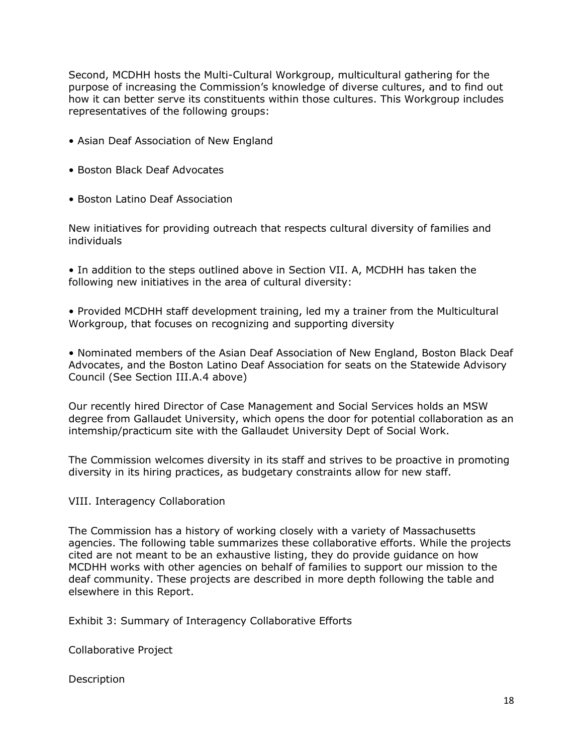Second, MCDHH hosts the Multi-Cultural Workgroup, multicultural gathering for the purpose of increasing the Commission's knowledge of diverse cultures, and to find out how it can better serve its constituents within those cultures. This Workgroup includes representatives of the following groups:

- Asian Deaf Association of New England
- Boston Black Deaf Advocates
- Boston Latino Deaf Association

New initiatives for providing outreach that respects cultural diversity of families and individuals

• In addition to the steps outlined above in Section VII. A, MCDHH has taken the following new initiatives in the area of cultural diversity:

• Provided MCDHH staff development training, led my a trainer from the Multicultural Workgroup, that focuses on recognizing and supporting diversity

• Nominated members of the Asian Deaf Association of New England, Boston Black Deaf Advocates, and the Boston Latino Deaf Association for seats on the Statewide Advisory Council (See Section III.A.4 above)

Our recently hired Director of Case Management and Social Services holds an MSW degree from Gallaudet University, which opens the door for potential collaboration as an intemship/practicum site with the Gallaudet University Dept of Social Work.

The Commission welcomes diversity in its staff and strives to be proactive in promoting diversity in its hiring practices, as budgetary constraints allow for new staff.

VIII. Interagency Collaboration

The Commission has a history of working closely with a variety of Massachusetts agencies. The following table summarizes these collaborative efforts. While the projects cited are not meant to be an exhaustive listing, they do provide guidance on how MCDHH works with other agencies on behalf of families to support our mission to the deaf community. These projects are described in more depth following the table and elsewhere in this Report.

Exhibit 3: Summary of Interagency Collaborative Efforts

Collaborative Project

Description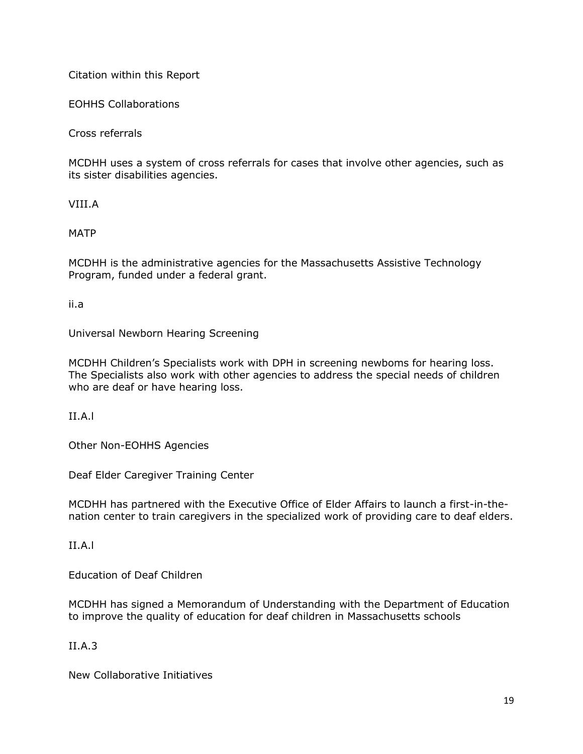Citation within this Report

EOHHS Collaborations

Cross referrals

MCDHH uses a system of cross referrals for cases that involve other agencies, such as its sister disabilities agencies.

VIII.A

MATP

MCDHH is the administrative agencies for the Massachusetts Assistive Technology Program, funded under a federal grant.

ii.a

Universal Newborn Hearing Screening

MCDHH Children's Specialists work with DPH in screening newboms for hearing loss. The Specialists also work with other agencies to address the special needs of children who are deaf or have hearing loss.

II.A.l

Other Non-EOHHS Agencies

Deaf Elder Caregiver Training Center

MCDHH has partnered with the Executive Office of Elder Affairs to launch a first-in-thenation center to train caregivers in the specialized work of providing care to deaf elders.

II.A.l

Education of Deaf Children

MCDHH has signed a Memorandum of Understanding with the Department of Education to improve the quality of education for deaf children in Massachusetts schools

II.A.3

New Collaborative Initiatives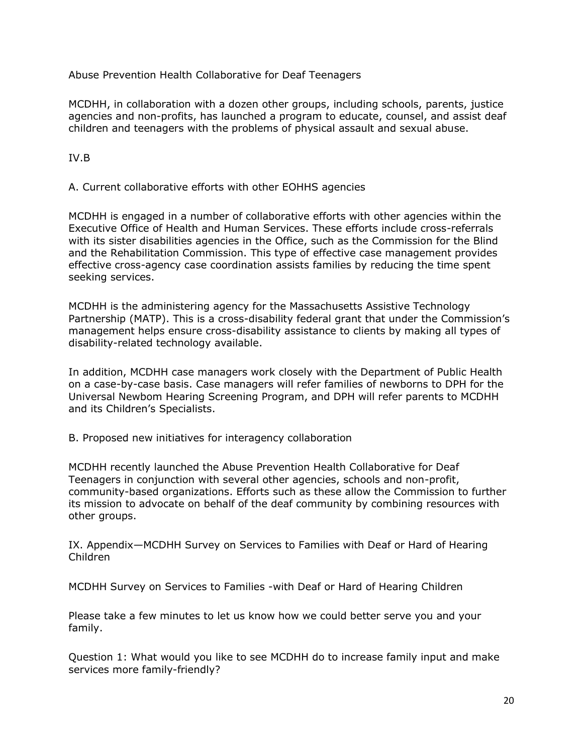Abuse Prevention Health Collaborative for Deaf Teenagers

MCDHH, in collaboration with a dozen other groups, including schools, parents, justice agencies and non-profits, has launched a program to educate, counsel, and assist deaf children and teenagers with the problems of physical assault and sexual abuse.

IV.B

A. Current collaborative efforts with other EOHHS agencies

MCDHH is engaged in a number of collaborative efforts with other agencies within the Executive Office of Health and Human Services. These efforts include cross-referrals with its sister disabilities agencies in the Office, such as the Commission for the Blind and the Rehabilitation Commission. This type of effective case management provides effective cross-agency case coordination assists families by reducing the time spent seeking services.

MCDHH is the administering agency for the Massachusetts Assistive Technology Partnership (MATP). This is a cross-disability federal grant that under the Commission's management helps ensure cross-disability assistance to clients by making all types of disability-related technology available.

In addition, MCDHH case managers work closely with the Department of Public Health on a case-by-case basis. Case managers will refer families of newborns to DPH for the Universal Newbom Hearing Screening Program, and DPH will refer parents to MCDHH and its Children's Specialists.

B. Proposed new initiatives for interagency collaboration

MCDHH recently launched the Abuse Prevention Health Collaborative for Deaf Teenagers in conjunction with several other agencies, schools and non-profit, community-based organizations. Efforts such as these allow the Commission to further its mission to advocate on behalf of the deaf community by combining resources with other groups.

IX. Appendix—MCDHH Survey on Services to Families with Deaf or Hard of Hearing Children

MCDHH Survey on Services to Families -with Deaf or Hard of Hearing Children

Please take a few minutes to let us know how we could better serve you and your family.

Question 1: What would you like to see MCDHH do to increase family input and make services more family-friendly?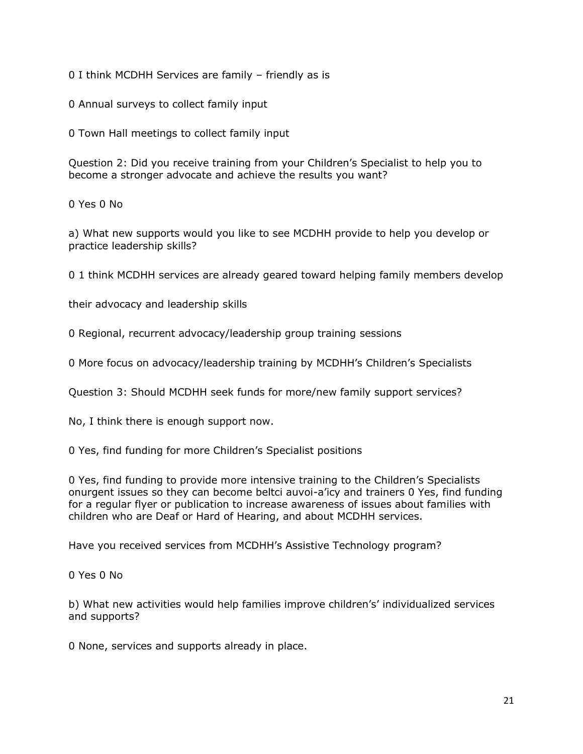0 I think MCDHH Services are family – friendly as is

0 Annual surveys to collect family input

0 Town Hall meetings to collect family input

Question 2: Did you receive training from your Children's Specialist to help you to become a stronger advocate and achieve the results you want?

0 Yes 0 No

a) What new supports would you like to see MCDHH provide to help you develop or practice leadership skills?

0 1 think MCDHH services are already geared toward helping family members develop

their advocacy and leadership skills

0 Regional, recurrent advocacy/leadership group training sessions

0 More focus on advocacy/leadership training by MCDHH's Children's Specialists

Question 3: Should MCDHH seek funds for more/new family support services?

No, I think there is enough support now.

0 Yes, find funding for more Children's Specialist positions

0 Yes, find funding to provide more intensive training to the Children's Specialists onurgent issues so they can become beltci auvoi-a'icy and trainers 0 Yes, find funding for a regular flyer or publication to increase awareness of issues about families with children who are Deaf or Hard of Hearing, and about MCDHH services.

Have you received services from MCDHH's Assistive Technology program?

0 Yes 0 No

b) What new activities would help families improve children's' individualized services and supports?

0 None, services and supports already in place.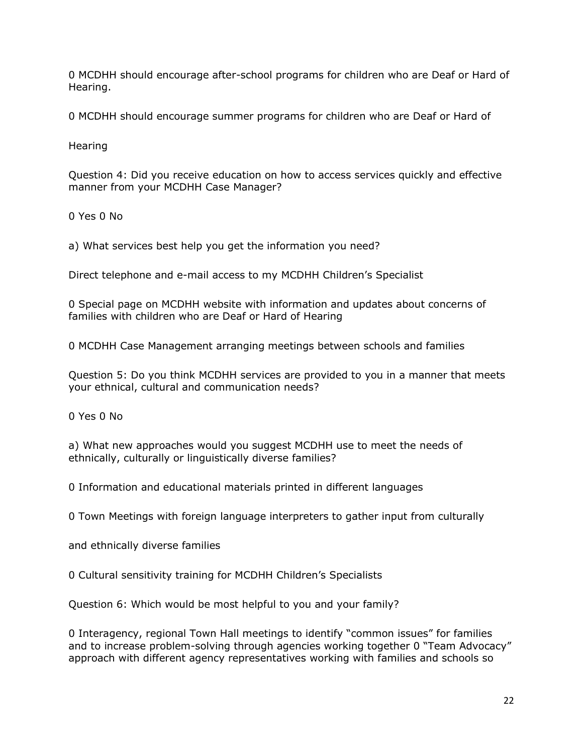0 MCDHH should encourage after-school programs for children who are Deaf or Hard of Hearing.

0 MCDHH should encourage summer programs for children who are Deaf or Hard of

Hearing

Question 4: Did you receive education on how to access services quickly and effective manner from your MCDHH Case Manager?

0 Yes 0 No

a) What services best help you get the information you need?

Direct telephone and e-mail access to my MCDHH Children's Specialist

0 Special page on MCDHH website with information and updates about concerns of families with children who are Deaf or Hard of Hearing

0 MCDHH Case Management arranging meetings between schools and families

Question 5: Do you think MCDHH services are provided to you in a manner that meets your ethnical, cultural and communication needs?

0 Yes 0 No

a) What new approaches would you suggest MCDHH use to meet the needs of ethnically, culturally or linguistically diverse families?

0 Information and educational materials printed in different languages

0 Town Meetings with foreign language interpreters to gather input from culturally

and ethnically diverse families

0 Cultural sensitivity training for MCDHH Children's Specialists

Question 6: Which would be most helpful to you and your family?

0 Interagency, regional Town Hall meetings to identify "common issues" for families and to increase problem-solving through agencies working together 0 "Team Advocacy" approach with different agency representatives working with families and schools so